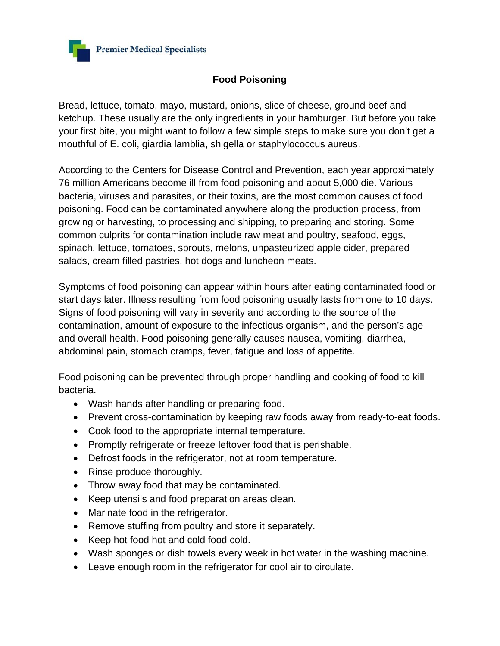

## **Food Poisoning**

Bread, lettuce, tomato, mayo, mustard, onions, slice of cheese, ground beef and ketchup. These usually are the only ingredients in your hamburger. But before you take your first bite, you might want to follow a few simple steps to make sure you don't get a mouthful of E. coli, giardia lamblia, shigella or staphylococcus aureus.

According to the Centers for Disease Control and Prevention, each year approximately 76 million Americans become ill from food poisoning and about 5,000 die. Various bacteria, viruses and parasites, or their toxins, are the most common causes of food poisoning. Food can be contaminated anywhere along the production process, from growing or harvesting, to processing and shipping, to preparing and storing. Some common culprits for contamination include raw meat and poultry, seafood, eggs, spinach, lettuce, tomatoes, sprouts, melons, unpasteurized apple cider, prepared salads, cream filled pastries, hot dogs and luncheon meats.

Symptoms of food poisoning can appear within hours after eating contaminated food or start days later. Illness resulting from food poisoning usually lasts from one to 10 days. Signs of food poisoning will vary in severity and according to the source of the contamination, amount of exposure to the infectious organism, and the person's age and overall health. Food poisoning generally causes nausea, vomiting, diarrhea, abdominal pain, stomach cramps, fever, fatigue and loss of appetite.

Food poisoning can be prevented through proper handling and cooking of food to kill bacteria.

- Wash hands after handling or preparing food.
- Prevent cross-contamination by keeping raw foods away from ready-to-eat foods.
- Cook food to the appropriate internal temperature.
- Promptly refrigerate or freeze leftover food that is perishable.
- Defrost foods in the refrigerator, not at room temperature.
- Rinse produce thoroughly.
- Throw away food that may be contaminated.
- Keep utensils and food preparation areas clean.
- Marinate food in the refrigerator.
- Remove stuffing from poultry and store it separately.
- Keep hot food hot and cold food cold.
- Wash sponges or dish towels every week in hot water in the washing machine.
- Leave enough room in the refrigerator for cool air to circulate.